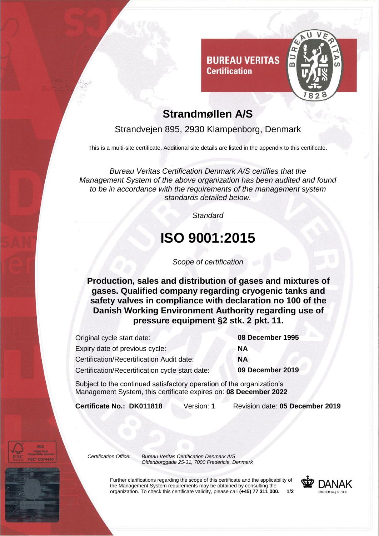

### **Strandmøllen A/S**

**Certification** 

#### Strandvejen 895, 2930 Klampenborg, Denmark

This is a multi-site certificate. Additional site details are listed in the appendix to this certificate.

*Bureau Veritas Certification Denmark A/S certifies that the Management System of the above organization has been audited and found to be in accordance with the requirements of the management system standards detailed below.*

*Standard*

# **ISO 9001:2015**

*Scope of certification*

**Production, sales and distribution of gases and mixtures of gases. Qualified company regarding cryogenic tanks and safety valves in compliance with declaration no 100 of the Danish Working Environment Authority regarding use of pressure equipment §2 stk. 2 pkt. 11.**

| Original cycle start date:                      |    |
|-------------------------------------------------|----|
| Expiry date of previous cycle:                  | ΝA |
| Certification/Recertification Audit date:       |    |
| Certification/Recertification cycle start date: |    |

08 December 1995 09 December 2019

Subject to the continued satisfactory operation of the organization's Management System, this certificate expires on: **08 December 2022**

**Certificate No.: DK011818** Version: **1** Revision date: **05 December 2019**

*Certification Office: Bureau Veritas Certification Denmark A/S Oldenborggade 25-31, 7000 Fredericia, Denmark*

> Further clarifications regarding the scope of this certificate and the applicability of the Management System requirements may be obtained by consulting the organization. To check this certificate validity, please call **(+45) 77 311 000. 1/2**